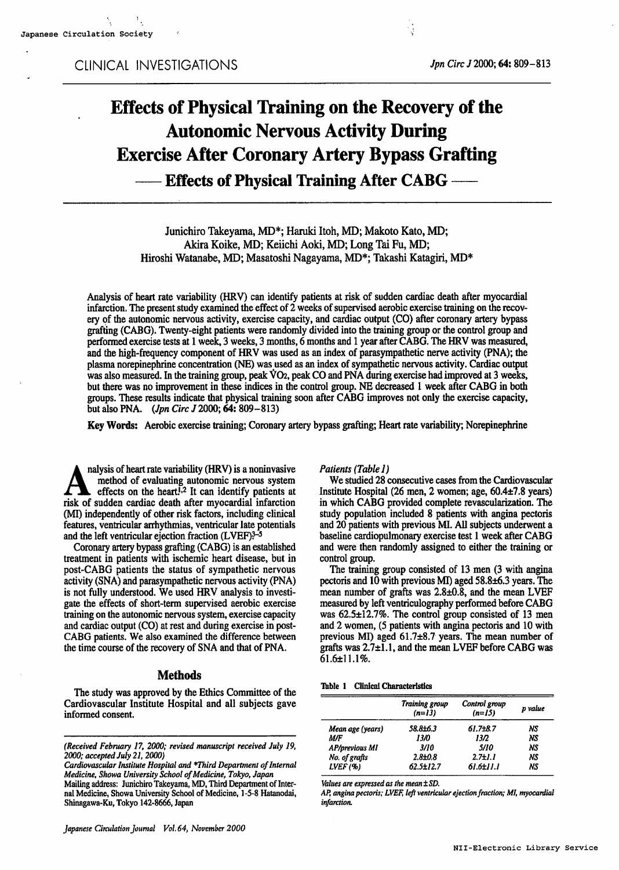# Effects of Physical Training on the Recovery of the Autonomic Nervous Activity During Exercise After Coronary Artery Bypass Grafting - Effects of Physical Training After CABG -

Junichiro Takeyama, MD\*; Haruki Itoh, MD; Makoto Kato, MD; Akira Koike, MD; Keiichi Aoki, MD; Long Tai Fu, MD; Hiroshi Watanabe, MD; Masatoshi Nagayama, MD\*; Takashi Katagiri, MD\*

Analysis of heart rate variability (HRV) can identify patients at risk of sudden cardiac death after myocardial infarction. The present study examined the effect of  $2$  weeks of supervised aerobic exercise training on the recovery of the autonomic nervous activity, exercise capacity, and cardiac output (CO) after coronary artery bypass grafting (CABG). Twenty-eight patients were randomly divided into the training group or the control group and performed exercise tests at 1 week, 3 weeks, 3 months, 6 months and 1 year after CABG. The HRV was measured, and the high-frequency component of HRV was used as an index of parasympathetic nerve activity (PNA); the plasma norepinephrine concentration (NE) was used as an index of sympathetic nervous activity. Cardiac output was also measured. In the training group, peak VO2, peak CO and PNA during exercise had improved at 3 weeks, but there was no improvement in these indices in the control group. NE decreased 1 week after CABG in both groups. These results indicate that physical training soon after CABG improves not only the exercise capacity, but also PNA. (*Jpn Circ J* 2000; 64: 809-813)

Key Words: Aerobic exercise training; Coronary artery bypass grafting; Heart rate variability; Norepinephrine

nalysis of heart rate variability (HRV) is a noninvasive method of evaluating autonomic nervous system effects on the heart<sup>1,2</sup> It can identify patients at risk of sudden cardiac death after myocardial infarction (MI) independently of other risk factors, including clinical features, ventricular arrhythmias, ventricular late potentials and the left ventricular ejection fraction (LVEF)?-5

Coronary artery bypass grafting (CABG) is an established treatment in patients with ischemic heart disease, but in post-CABG patients the status of sympathetic nervous activity (SNA) and parasympathetic nervous activity (PNA) is not fully understood. We used HRV analysis to investi gate the effects of short-term supervised aerobic exercise training on the autonomic nervous system, exercise capacity and cardiac output (CO) at rest and during exercise in post-CABG patients. We also examined the difference between the time course of the recovery of SNA and that of PNA.

## Methods

The study was approved by the Ethics Committee of the Cardiovascular Institute Hospital and all subjects gave informed consent.

Patients (Table 1)

We studied <sup>28</sup> consecutive cases from the Cardiovascular Institute Hospital (26 men, 2 women; age,  $60.4\pm7.8$  years) in which CABG provided complete revascularization. The study population included 8 patients with angina pectoris and 20 patients with previous MI. All subjects underwent baseline cardiopulmonary exercise test 1 week after CABG and were then randomly assigned to either the training or control group.

The training group consisted of 13 men (3 with angina pectoris and 10 with previous MI) aged 58.8±6.3 years. The mean number of grafts was 2.8±0.8, and the mean LVEF measured by left ventriculography performed before CABG was 62.5±12.7%. The control group consisted of 13 men and 2 women, (5 patients with angina pectoris and 10 with previous MI) aged 61.7±8.7 years. The mean number of grafts was 2.7±1.1, and the mean LVEF before CABG was  $61.6±11.1%$ .

| <b>Clinical Characteristics</b> | Table 1 |  |  |  |
|---------------------------------|---------|--|--|--|
|---------------------------------|---------|--|--|--|

|                       | Training group<br>$(n=13)$ | Control group<br>$(n=15)$ | p value |
|-----------------------|----------------------------|---------------------------|---------|
| Mean age (years)      | 58.8±6.3                   | $61.7 + 8.7$              | NS      |
| M/F                   | 13/0                       | 13/2                      | NS      |
| <b>AP/previous MI</b> | 3/10                       | 5/10                      | NS      |
| No. of grafts         | $2.8 + 0.8$                | $2.7 \pm 1.1$             | NS      |
| LVEF(%)               | 62.5±12.7                  | 61.6±11.1                 | NS      |

Values are expressed as the mean  $\pm SD$ .

AP, angina pectoris; LVEF, left ventricular ejection fraction; MI, myocardial infarction.

<sup>(</sup>Received February 17, 2000; revised manuscript received July 19, 2000; accepted July 21,2000)

Cardiovascular Institute Hospital and \*Third Department of Internal Medicine, Showa University School of Medicine, Tokyo, Japan Mailing address: Junichiro Takeyama, MD, Third Department of Inter nal Medicine, Showa University School of Medicine, 1-5-8 Hatanodai, Shinagawa-Ku, Tokyo 142-8666, Japan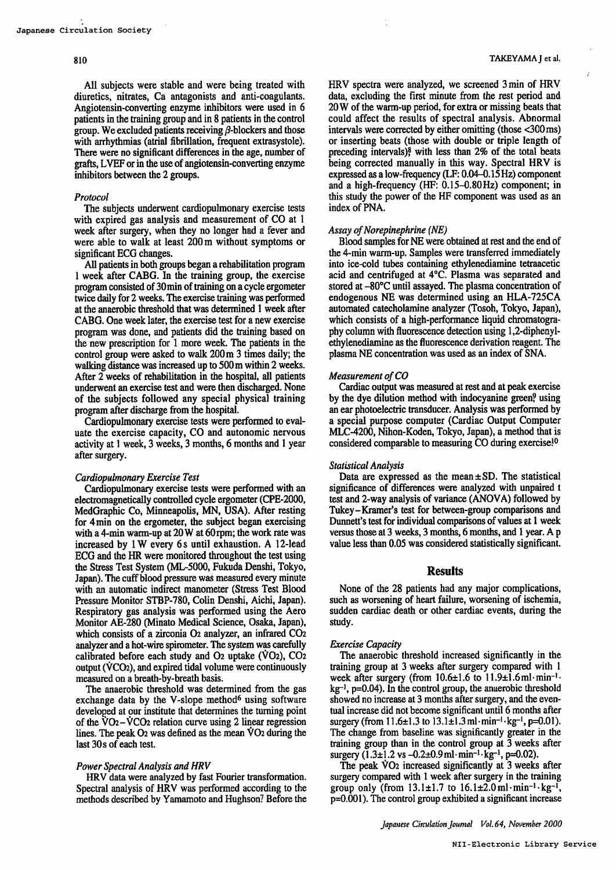#### 810

All subjects were stable and were being treated with diuretics, nitrates, Ca antagonists and anti-coagulants. Angiotensin-converting enzyme inhibitors were used in patients in the training group and in 8 patients in the control group. We excluded patients receiving  $\beta$ -blockers and those with arrhythmias (atrial fibrillation, frequent extrasystole). There were no significant differences in the age, number of grafts, LVEF or in the use of angiotensin-converting enzyme inhibitors between the 2 groups.

## Protocol

The subjects underwent cardiopulmonary exercise tests with expired gas analysis and measurement of CO at 1 week after surgery, when they no longer had a fever and were able to walk at least 200 m without symptoms or significant ECG changes.

All patients in both groups began a rehabilitation program week after CABG. In the training group, the exercise program consisted of 30 min of training on a cycle ergometer twice daily for 2 weeks. The exercise training was performed at the anaerobic threshold that was determined 1 week after CABG. One week later, the exercise test for a new exercise program was done, and patients did the training based on the new prescription for 1 more week. The patients in the control group were asked to walk  $200 \text{ m } 3$  times daily; the walking distance was increased up to 500 m within 2 weeks. After 2 weeks of rehabilitation in the hospital, all patients underwent an exercise test and were then discharged. None of the subjects followed any special physical training program after discharge from the hospital.

Cardiopulmonary exercise tests were performed to eval uate the exercise capacity, CO and autonomic nervous activity at 1 week, 3 weeks, 3 months, 6 months and 1 year after surgery.

## Cardiopulmonary Exercise Test

Cardiopulmonary exercise tests were performed with an electromagnetically controlled cycle ergometer (CPE-2000, MedGraphic Co, Minneapolis, MN, USA). After resting for 4min on the ergometer, the subject began exercising with a 4-min warm-up at  $20 W$  at  $60$ rpm; the work rate was increased by  $1 \text{ W}$  every 6s until exhaustion. A 12-lead ECG and the HR were monitored throughout the test using the Stress Test System (ML-5000, Fukuda Denshi, Tokyo, Japan). The cuff blood pressure was measured every minute with an automatic indirect manometer (Stress Test Blood Pressure Monitor STBP-780, Colin Denshi, Aichi, Japan). Respiratory gas analysis was performed using the Aero Monitor AE-280 (Minato Medical Science, Osaka, Japan), which consists of a zirconia 02 analyzer, an infrared CO2 analyzer and a hot-wire spirometer. The system was carefully calibrated before each study and  $O<sub>2</sub>$  uptake (VO<sub>2</sub>),  $CO<sub>2</sub>$ output (VCO2), and expired tidal volume were continuously measured on a breath-by-breath basis.

The anaerobic threshold was determined from the gas exchange data by the V-slope method<sup>6</sup> using software developed at our institute that determines the turning point of the  $VO_2-VCO_2$  relation curve using 2 linear regression lines. The peak O<sub>2</sub> was defined as the mean VO<sub>2</sub> during the last 30s of each test.

## Power Spectral Analysis and HRV

HRV data were analyzed by fast Fourier transformation. Spectral analysis of HRV was performed according to the methods described by Yamamoto and Hughson? Before the HRV spectra were analyzed, we screened 3 min of HRV data, excluding the first minute from the rest period and 20 W of the warm-up period, for extra or missing beats that could affect the results of spectral analysis. Abnormal intervals were corrected by either omitting (those <300ms) or inserting beats (those with double or triple length of preceding intervals)? with less than 2% of the total beats being corrected manually in this way. Spectral HRV is expressed as low-frequency (LF: 0.04-0.15 Hz) component and a high-frequency (HF:  $0.15-0.80$  Hz) component; in this study the power of the HF component was used as an index of PNA.

## Assay of Norepinephrine (NE)

Blood samples for NE were obtained at rest and the end of the 4-min warm-up. Samples were transferred immediately into ice-cold tubes containing ethylenediamine tetraacetic acid and centrifuged at 4°C. Plasma was separated and stored at -80°C until assayed. The plasma concentration of endogenous NE was determined using an HLA-725CA automated catecholamine analyzer (Tosoh, Tokyo, Japan), which consists of a high-performance liquid chromatography column with fluorescence detection using 1,2-diphenylethylenediamine as the fluorescence derivation reagent. The plasma NE concentration was used as an index of SNA.

## Measurement of CO

Cardiac output was measured at rest and at peak exercise by the dye dilution method with indocyanine green? using an ear photoelectric transducer. Analysis was performed by special purpose computer (Cardiac Output Computer MLC-4200, Nihon-Koden, Tokyo, Japan), a method that is considered comparable to measuring CO during exercise!<sup>0</sup>

## Statistical Analysis

Data are expressed as the mean $\pm$ SD. The statistical significance of differences were analyzed with unpaired t test and 2-way analysis of variance (ANOVA) followed by Tukey-Kramer's test for between-group comparisons and Dunnett's test for individual comparisons of values at 1 week versus those at 3 weeks, 3 months, 6 months, and 1 year. A p value less than 0.05 was considered statistically significant.

## Results

None of the 28 patients had any major complications, such as worsening of heart failure, worsening of ischemia, sudden cardiac death or other cardiac events, during the study.

#### Exercise Capacity

The anaerobic threshold increased significantly in the training group at 3 weeks after surgery compared with 1 week after surgery (from  $10.6\pm1.6$  to  $11.9\pm1.6$  ml $\cdot$ min<sup>-1</sup> $\cdot$ kg-1, p=0.04). In the control group, the anaerobic threshold showed no increase at 3 months after surgery, and the eventual increase did not become significant until 6 months after surgery (from  $11.6 \pm 1.3$  to  $13.1 \pm 1.3$  ml·min<sup>-1</sup>·kg<sup>-1</sup>, p=0.01). The change from baseline was significantly greater in the training group than in the control group at  $\bar{3}$  weeks after surgery  $(1.3\pm 1.2 \text{ vs } -0.2\pm 0.9 \text{ ml} \cdot \text{min}^{-1} \cdot \text{kg}^{-1}, \text{p=0.02}).$ 

The peak  $\dot{V}O_2$  increased significantly at 3 weeks after surgery compared with 1 week after surgery in the training group only (from  $13.1\pm1.7$  to  $16.1\pm2.0$  ml·min<sup>-1</sup>·kg<sup>-1</sup>  $p=0.001$ ). The control group exhibited a significant increase

Japanese Circulation Journal Vol. 64, November 2000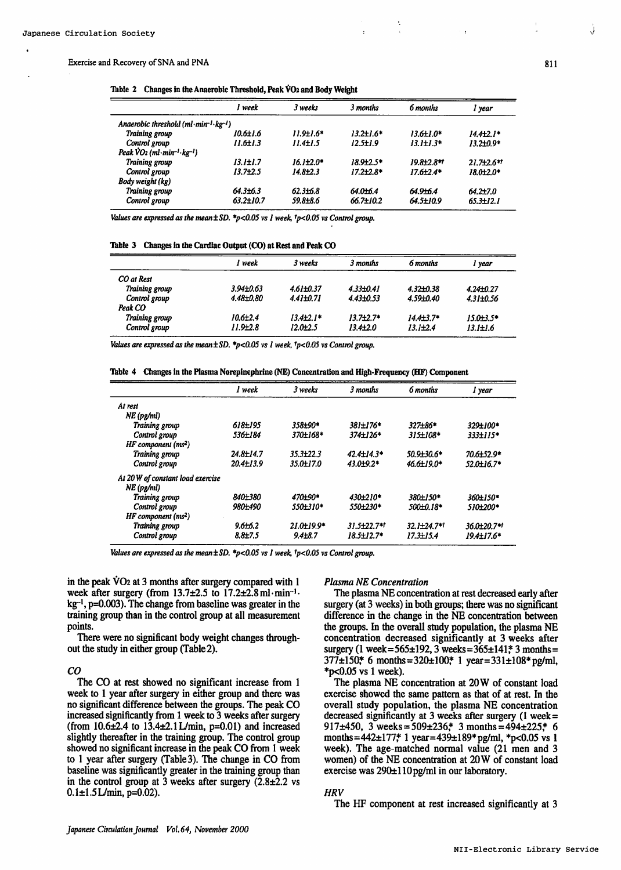## Exercise and Recovery of SNA and PNA 811

|  |  | Table 2 Changes in the Anaerobic Threshold, Peak VO <sub>2</sub> and Body Weight |  |  |
|--|--|----------------------------------------------------------------------------------|--|--|
|--|--|----------------------------------------------------------------------------------|--|--|

|                                                | ' week          | 3 weeks          | 3 months         | 6 months        | l year                 |
|------------------------------------------------|-----------------|------------------|------------------|-----------------|------------------------|
| Anaerobic threshold $(ml·min-1·kg-1)$          |                 |                  |                  |                 |                        |
| Training group                                 | 10.6±1.6        | $11.9 \pm 1.6*$  | $13.2 \pm 1.6^*$ | 13.6±1.0*       | $14.4 \pm 2.1*$        |
| Control group                                  | $11.6 \pm 1.3$  | $11.4 \pm 1.5$   | $12.5 \pm 1.9$   | $13.1 \pm 1.3*$ | 13.2±0.9*              |
| Peak $VO2$ (ml $\cdot$ min $-I \cdot kg - I$ ) |                 |                  |                  |                 |                        |
| Training group                                 | $13.1 \pm 1.7$  | $16.1 \pm 2.0$ * | 18.9+2.5*        | 19.8±2.8**      | $21.7\pm 2.6$ **       |
| Control group                                  | $13.7{\pm}2.5$  | $14.8{\pm}2.3$   | $17.2{\pm}2.8*$  | $17.6 + 2.4*$   | 18.0 <del>1</del> 2.0* |
| Body weight (kg)                               |                 |                  |                  |                 |                        |
| Training group                                 | 64.3±6.3        | $62.3{\pm}6.8$   | 64.0±6.4         | 64.9+6.4        | 64.2±7.0               |
| Control group                                  | $63.2{\pm}10.7$ | 59.8±8.6         | $66.7 \pm 10.2$  | 64.5±10.9       | $65.3 \pm 12.1$        |

Values are expressed as the mean $\pm$ SD. \*p<0.05 vs I week,  $tp$ <0.05 vs Control group.

|  |  |  |  |  |  | Table 3 Changes in the Cardiac Output (CO) at Rest and Peak CO |  |
|--|--|--|--|--|--|----------------------------------------------------------------|--|
|--|--|--|--|--|--|----------------------------------------------------------------|--|

|                | week            | 3 weeks         | 3 months        | 6 months        | I year          |
|----------------|-----------------|-----------------|-----------------|-----------------|-----------------|
| CO at Rest     |                 |                 |                 |                 |                 |
| Training group | $3.94{\pm}0.63$ | $4.61 + 0.37$   | $4.33{\pm}0.41$ | $4.32 + 0.38$   | $4.24 \pm 0.27$ |
| Control group  | $4.48{\pm}0.80$ | $4.41 \pm 0.71$ | $4.43{\pm}0.53$ | 4.59±0.40       | $4.31 \pm 0.56$ |
| Peak CO        |                 |                 |                 |                 |                 |
| Training group | $10.6{\pm}2.4$  | $13.4\pm2.1*$   | $13.7{\pm}2.7*$ | $14.4{\pm}3.7*$ | 15.0±3.5*       |
| Control group  | $11.9{\pm}2.8$  | $12.0 \pm 2.5$  | $13.4{\pm}2.0$  | $13.1 \pm 2.4$  | $13.1 \pm 1.6$  |

Values are expressed as the mean  $\pm SD$ . \*p<0.05 vs I week,  $tp$ <0.05 vs Control group.

Table Changes in the Plasma Norepinephrine (NE) Concentration and High-Frequency (HF) Component

|                                   | l week          | 3 weeks         | 3 months          | 6 months         | I year             |
|-----------------------------------|-----------------|-----------------|-------------------|------------------|--------------------|
| At rest                           |                 |                 |                   |                  |                    |
| $NE$ (pg/ml)                      |                 |                 |                   |                  |                    |
| Training group                    | 618±195         | 358±90*         | 381±176*          | $327 + 86*$      | 329±100*           |
| Control group                     | 536±184         | 370±168*        | 374±126*          | $315 \pm 108*$   | 333±115*           |
| $HF$ component $(ms^2)$           |                 |                 |                   |                  |                    |
| Training group                    | 24.8±14.7       | $35.3 \pm 22.3$ | $42.4 \pm 14.3*$  | 50.9130.6*       | 70.6±52.9*         |
| Control group                     | $20.4 \pm 13.9$ | 35.0±17.0       | $43.0 + 9.2*$     | 46.6±19.0*       | 52.0±16.7*         |
| At 20 W of constant load exercise |                 |                 |                   |                  |                    |
| $NE$ (pg/ml)                      |                 |                 |                   |                  |                    |
| Training group                    | 840±380         | 470±90*         | 430±210*          | 380±150*         | 360±150*           |
| Control group                     | 980±490         | 550+310*        | 550±230*          | 500±0.18*        | 510+200*           |
| $HF$ component $(ms^2)$           |                 |                 |                   |                  |                    |
| Training group                    | $9.6 + 6.2$     | $21.0 + 19.9*$  | $31.5 + 22.7$ *t  | $32.1 + 24.7$ ** | $36.0 \pm 20.7$ *1 |
| Control group                     | $8.8{\pm}7.5$   | $9.4 \pm 8.7$   | $18.5 \pm 12.7$ * | $17.3 \pm 15.4$  | $19.4 \pm 17.6*$   |

Values are expressed as the mean  $\pm SD$ . \*p<0.05 vs I week,  $tp<0.05$  vs Control group.

in the peak  $\dot{V}O_2$  at 3 months after surgery compared with 1 week after surgery (from 13.7±2.5 to 17.2±2.8ml-min-1  $kg<sup>-1</sup>$ , p=0.003). The change from baseline was greater in the training group than in the control group at all measurement points.

There were no significant body weight changes through out the study in either group (Table 2).

## CO

The CO at rest showed no significant increase from 1 week to 1 year after surgery in either group and there was no significant difference between the groups. The peak CO increased significantly from  $1$  week to  $3$  weeks after surgery (from 10.6±2.4 to 13.4±2.1L/min, p=0.01) and increased slightly thereafter in the training group. The control group showed no significant increase in the peak CO from 1 week to 1 year after surgery (Table 3). The change in CO from baseline was significantly greater in the training group than in the control group at 3 weeks after surgery  $(2.8\pm 2.2 \text{ vs } 3.2\text{ s})$  $0.1 \pm 1.5$ L/min, p=0.02).

#### Plasma NE Concentration

The plasma NE concentration at rest decreased early after surgery (at 3 weeks) in both groups; there was no significant difference in the change in the NE concentration between the groups. In the overall study population, the plasma NE concentration decreased significantly at 3 weeks after surgery (1 week=565±192, 3 weeks= $365±141$ <sup>\*</sup> 3 months=  $377\pm150$ \* 6 months=320±100\* 1 year=331±108\*pg/ml,  $*$ p<0.05 vs 1 week).

The plasma NE concentration at 20W of constant load exercise showed the same pattern as that of at rest. In the overall study population, the plasma NE concentration decreased significantly at 3 weeks after surgery  $(1 \text{ week} =$ 917±450, 3 weeks =  $509\pm236$ \* 3 months =  $494\pm225$ \* 6 months=442±177\* 1 year=439±189\*pg/ml, \*p<0.05 vs 1 week). The age-matched normal value (21 men and women) of the NE concentration at 20W of constant load exercise was  $290±110$  pg/ml in our laboratory.

## **HRV**

The HF component at rest increased significantly at 3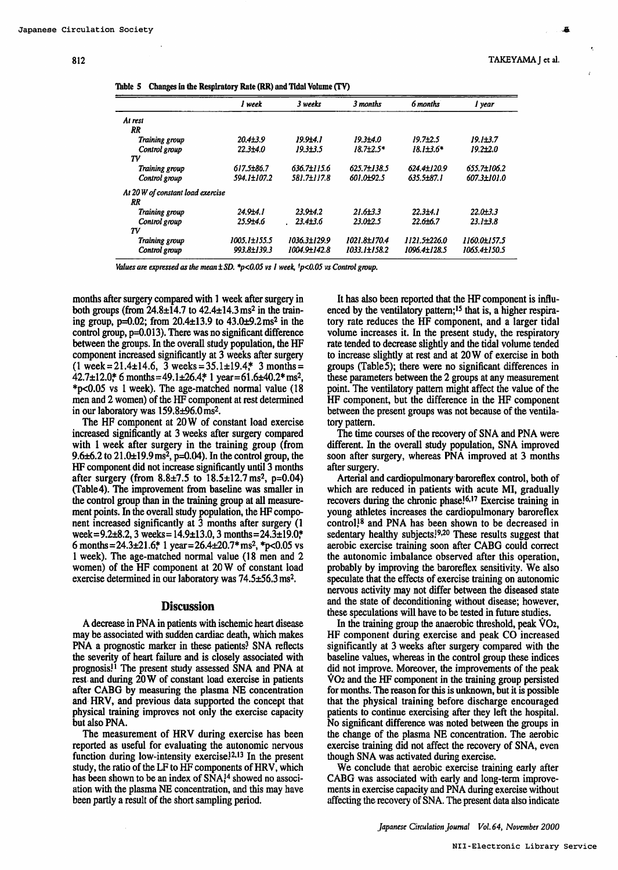| Table 5 Changes in the Respiratory Rate (RR) and Tidal Volume (TV) |  |  |  |  |  |  |  |
|--------------------------------------------------------------------|--|--|--|--|--|--|--|
|--------------------------------------------------------------------|--|--|--|--|--|--|--|

|                                   | l week         | 3 weeks        | 3 months                 | 6 months        | l year         |
|-----------------------------------|----------------|----------------|--------------------------|-----------------|----------------|
| At rest                           |                |                |                          |                 |                |
| RR                                |                |                |                          |                 |                |
| Training group                    | $20.4{\pm}3.9$ | 19.914.1       | 19.314.0                 | $19.7 + 2.5$    | $19.1 \pm 3.7$ |
| Control group                     | $22.3{\pm}4.0$ | $19.3{\pm}3.5$ | $18.7 + 2.5*$            | $18.1 \pm 3.6*$ | $19.2{\pm}2.0$ |
| Tν                                |                |                |                          |                 |                |
| Training group                    | 617.5±86.7     | 636.7±115.6    | 625.7±138.5              | 624.4±120.9     | 655.7±106.2    |
| Control group                     | 594.1±107.2    | 581.7±117.8    | 601.0 <del>1.</del> 92.5 | 635.5±87.1      | 607.3±101.0    |
| At 20 W of constant load exercise |                |                |                          |                 |                |
| RR                                |                |                |                          |                 |                |
| Training group                    | 24.9±4.1       | $23.9 + 4.2$   | $21.6 \pm 3.3$           | $22.3 + 4.1$    | $22.0 \pm 3.3$ |
| Control group                     | 25.9±4.6       | $23.4{\pm}3.6$ | $23.0{\pm}2.5$           | $22.6 + 6.7$    | $23.1 \pm 3.8$ |
| TV                                |                |                |                          |                 |                |
| Training group                    | 1005.1±155.5   | 1036.3±129.9   | 1021.8±170.4             | 1121.5±226.0    | 1160.0±157.5   |
| Control group                     | 993.8±139.3    | 1004.9±142.8   | 1033.1±158.2             | 1096.4±128.5    | 1065.4±150.5   |

Values are expressed as the mean  $\pm$  SD. \*p<0.05 vs I week, \*p<0.05 vs Control group.

months after surgery compared with 1 week after surgery in both groups (from  $24.8 \pm 14.7$  to  $42.4 \pm 14.3$  ms<sup>2</sup> in the training group,  $p=0.02$ ; from 20.4 $\pm$ 13.9 to 43.0 $\pm$ 9.2ms<sup>2</sup> in the control group, p=0.013). There was no significant difference between the groups. In the overall study population, the HF component increased significantly at 3 weeks after surgery  $(1 \text{ week} = 21.4 \pm 14.6, \overline{3} \text{ weeks} = 35.1 \pm 19.4, \overline{3} \text{ months} =$  $42.7 \pm 12.0$ \* 6 months= $49.1 \pm 26.4$ \* 1 year=61.6 $\pm 40.2$ \* ms<sup>2</sup>,  $*p<0.05$  vs 1 week). The age-matched normal value (18 men and 2 women) of the HF component at rest determined in our laboratory was 159.8±96.0ms2.

The HF component at 20W of constant load exercise increased significantly at 3 weeks after surgery compared with 1 week after surgery in the training group (from 9.6 $\pm$ 6.2 to 21.0 $\pm$ 19.9 ms<sup>2</sup>, p=0.04). In the control group, the  $HF$  component did not increase significantly until  $\overline{3}$  months after surgery (from  $8.8 \pm 7.5$  to  $18.5 \pm 12.7$  ms<sup>2</sup>, p=0.04) (Table 4). The improvement from baseline was smaller in the control group than in the training group at all measure ment points. In the overall study population, the HF compo nent increased significantly at 3 months after surgery (1 week=9.2 $\pm$ 8.2, 3 weeks=14.9 $\pm$ 13.0, 3 months=24.3 $\pm$ 19.0\* 6 months =  $24.3\pm21.6$ ;\* 1 year =  $26.4\pm20.7$ \* ms<sup>2</sup>, \*p<0.05 vs week). The age-matched normal value (18 men and women) of the HF component at  $20 W$  of constant load exercise determined in our laboratory was 74.5±56.3 ms2.

#### **Discussion**

decrease in PNA in patients with ischemic heart disease may be associated with sudden cardiac death, which makes PNA a prognostic marker in these patients? SNA reflects the severity of heart failure and is closely associated with prognosis.11 The present study assessed SNA and PNA at rest and during 20 W of constant load exercise in patients after CABG by measuring the plasma NE concentration and HRV, and previous data supported the concept that physical training improves not only the exercise capacity but also PNA.

The measurement of HRV during exercise has been reported as useful for evaluating the autonomic nervous function during low-intensity exercise.<sup>12,13</sup> In the present study, the ratio of the LF to HF components of HRV, which has been shown to be an index of SNA,<sup>14</sup> showed no association with the plasma NE concentration, and this may have been partly a result of the short sampling period.

It has also been reported that the HF component is influ enced by the ventilatory pattern;<sup>15</sup> that is, a higher respiratory rate reduces the HF component, and a larger tidal volume increases it. In the present study, the respiratory rate tended to decrease slightly and the tidal volume tended to increase slightly at rest and at 20W of exercise in both groups (Table5); there were no significant differences in these parameters between the 2 groups at any measurement point. The ventilatory pattern might affect the value of the HF component, but the difference in the HF component between the present groups was not because of the ventila tory pattern.

The time courses of the recovery of SNA and PNA were different. In the overall study population, SNA improved soon after surgery, whereas PNA improved at 3 months after surgery.

Arterial and cardiopulmonary baroreflex control, both of which are reduced in patients with acute MI, gradually recovers during the chronic phase.<sup>16,17</sup> Exercise training in young athletes increases the cardiopulmonary baroreflex control,18 and PNA has been shown to be decreased in sedentary healthy subjects!<sup>9,20</sup> These results suggest that aerobic exercise training soon after CABG could correct the autonomic imbalance observed after this operation, probably by improving the baroreflex sensitivity. We also speculate that the effects of exercise training on autonomic nervous activity may not differ between the diseased state and the state of deconditioning without disease; however, these speculations will have to be tested in future studies.

In the training group the anaerobic threshold, peak VO2, HF component during exercise and peak CO increased significantly at 3 weeks after surgery compared with the baseline values, whereas in the control group these indices did not improve. Moreover, the improvements of the peak VO2 and the HF component in the training group persisted for months. The reason for this is unknown, but it is possible that the physical training before discharge encouraged patients to continue exercising after they left the hospital. No significant difference was noted between the groups in the change of the plasma NE concentration. The aerobic exercise training did not affect the recovery of SNA, even though SNA was activated during exercise.

We conclude that aerobic exercise training early after CABG was associated with early and long-term improve ments in exercise capacity and PNA during exercise without affecting the recovery of SNA. The present data also indicate

Japanese Circulation Journal Vol.64, November 2000